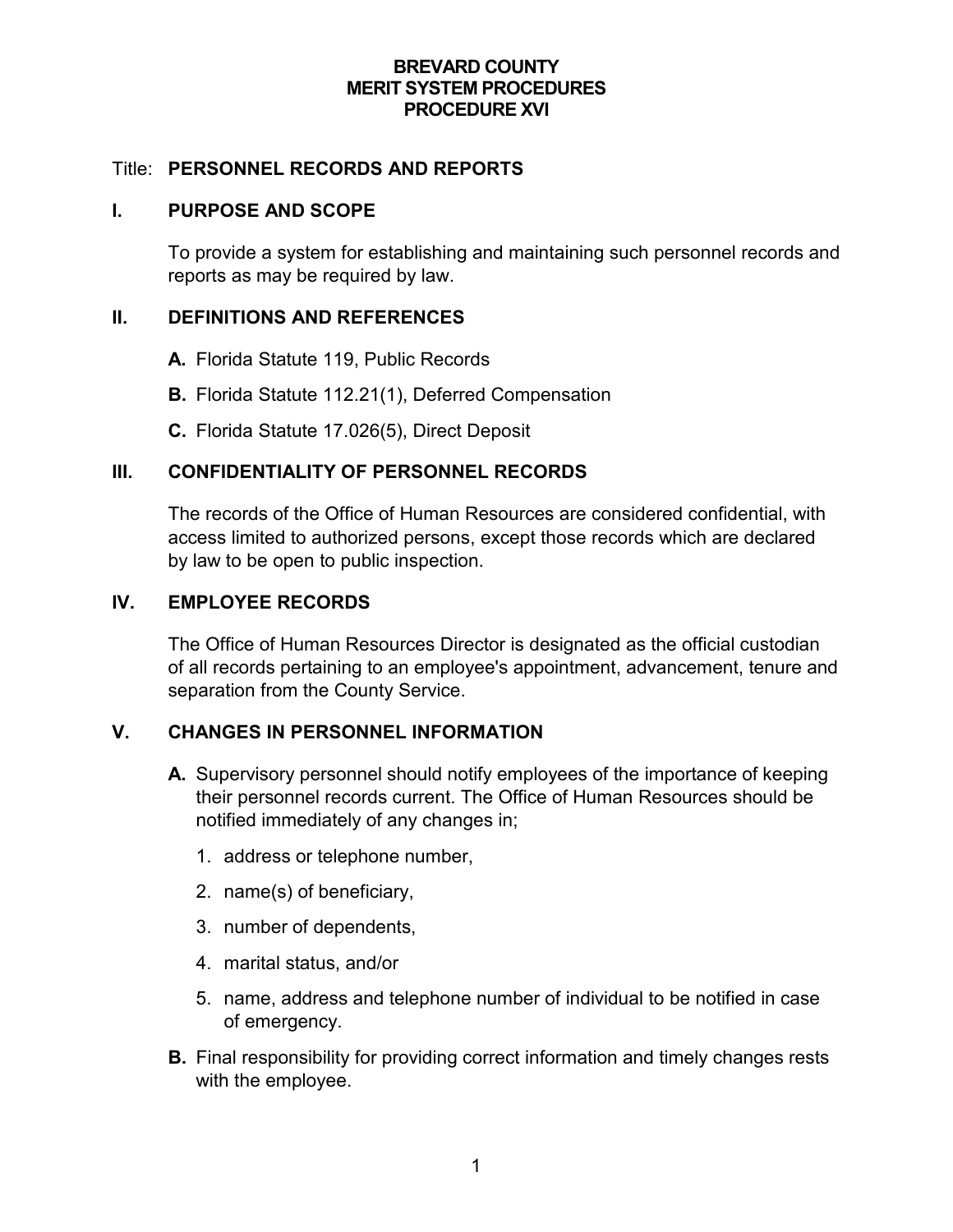### **BREVARD COUNTY MERIT SYSTEM PROCEDURES PROCEDURE XVI**

### Title: **PERSONNEL RECORDS AND REPORTS**

#### **I. PURPOSE AND SCOPE**

To provide a system for establishing and maintaining such personnel records and reports as may be required by law.

### **II. DEFINITIONS AND REFERENCES**

- **A.** Florida Statute 119, Public Records
- **B.** Florida Statute 112.21(1), Deferred Compensation
- **C.** Florida Statute 17.026(5), Direct Deposit

### **III. CONFIDENTIALITY OF PERSONNEL RECORDS**

The records of the Office of Human Resources are considered confidential, with access limited to authorized persons, except those records which are declared by law to be open to public inspection.

### **IV. EMPLOYEE RECORDS**

The Office of Human Resources Director is designated as the official custodian of all records pertaining to an employee's appointment, advancement, tenure and separation from the County Service.

### **V. CHANGES IN PERSONNEL INFORMATION**

- **A.** Supervisory personnel should notify employees of the importance of keeping their personnel records current. The Office of Human Resources should be notified immediately of any changes in;
	- 1. address or telephone number,
	- 2. name(s) of beneficiary,
	- 3. number of dependents,
	- 4. marital status, and/or
	- 5. name, address and telephone number of individual to be notified in case of emergency.
- **B.** Final responsibility for providing correct information and timely changes rests with the employee.